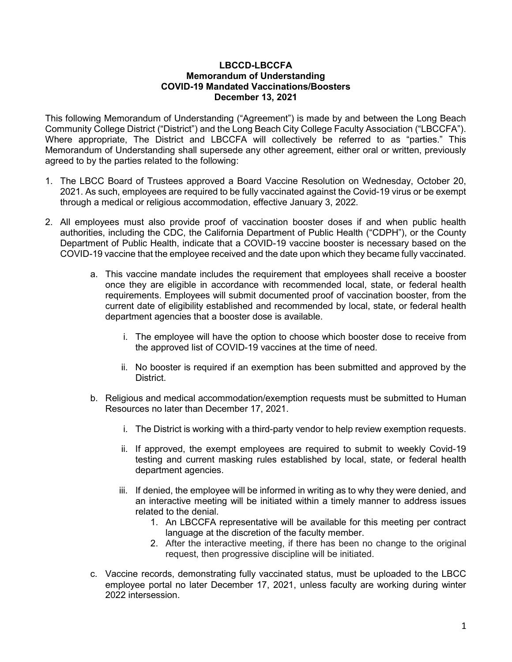#### LBCCD-LBCCFA Memorandum of Understanding COVID-19 Mandated Vaccinations/Boosters December 13, 2021

This following Memorandum of Understanding ("Agreement") is made by and between the Long Beach Community College District ("District") and the Long Beach City College Faculty Association ("LBCCFA"). Where appropriate, The District and LBCCFA will collectively be referred to as "parties." This Memorandum of Understanding shall supersede any other agreement, either oral or written, previously agreed to by the parties related to the following:

- 1. The LBCC Board of Trustees approved a Board Vaccine Resolution on Wednesday, October 20, 2021. As such, employees are required to be fully vaccinated against the Covid-19 virus or be exempt through a medical or religious accommodation, effective January 3, 2022.
- 2. All employees must also provide proof of vaccination booster doses if and when public health authorities, including the CDC, the California Department of Public Health ("CDPH"), or the County Department of Public Health, indicate that a COVID-19 vaccine booster is necessary based on the COVID-19 vaccine that the employee received and the date upon which they became fully vaccinated.
	- a. This vaccine mandate includes the requirement that employees shall receive a booster once they are eligible in accordance with recommended local, state, or federal health requirements. Employees will submit documented proof of vaccination booster, from the current date of eligibility established and recommended by local, state, or federal health department agencies that a booster dose is available.
		- i. The employee will have the option to choose which booster dose to receive from the approved list of COVID-19 vaccines at the time of need.
		- ii. No booster is required if an exemption has been submitted and approved by the District.
	- b. Religious and medical accommodation/exemption requests must be submitted to Human Resources no later than December 17, 2021.
		- i. The District is working with a third-party vendor to help review exemption requests.
		- ii. If approved, the exempt employees are required to submit to weekly Covid-19 testing and current masking rules established by local, state, or federal health department agencies.
		- iii. If denied, the employee will be informed in writing as to why they were denied, and an interactive meeting will be initiated within a timely manner to address issues related to the denial.
			- 1. An LBCCFA representative will be available for this meeting per contract language at the discretion of the faculty member.
			- 2. After the interactive meeting, if there has been no change to the original request, then progressive discipline will be initiated.
	- c. Vaccine records, demonstrating fully vaccinated status, must be uploaded to the LBCC employee portal no later December 17, 2021, unless faculty are working during winter 2022 intersession.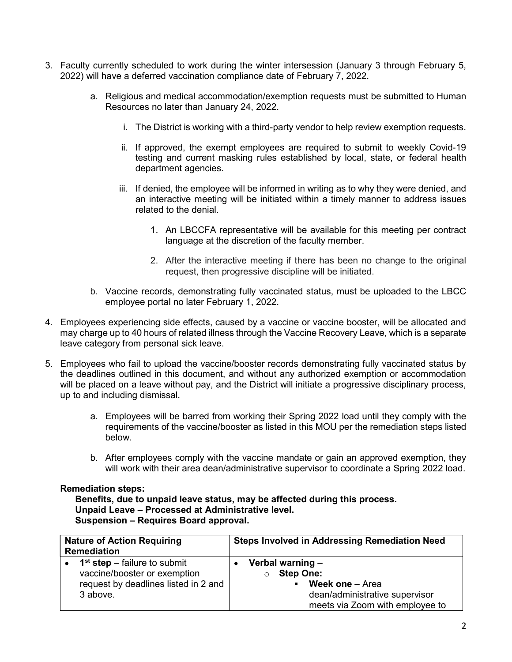- 3. Faculty currently scheduled to work during the winter intersession (January 3 through February 5, 2022) will have a deferred vaccination compliance date of February 7, 2022.
	- a. Religious and medical accommodation/exemption requests must be submitted to Human Resources no later than January 24, 2022.
		- i. The District is working with a third-party vendor to help review exemption requests.
		- ii. If approved, the exempt employees are required to submit to weekly Covid-19 testing and current masking rules established by local, state, or federal health department agencies.
		- iii. If denied, the employee will be informed in writing as to why they were denied, and an interactive meeting will be initiated within a timely manner to address issues related to the denial.
			- 1. An LBCCFA representative will be available for this meeting per contract language at the discretion of the faculty member.
			- 2. After the interactive meeting if there has been no change to the original request, then progressive discipline will be initiated.
	- b. Vaccine records, demonstrating fully vaccinated status, must be uploaded to the LBCC employee portal no later February 1, 2022.
- 4. Employees experiencing side effects, caused by a vaccine or vaccine booster, will be allocated and may charge up to 40 hours of related illness through the Vaccine Recovery Leave, which is a separate leave category from personal sick leave.
- 5. Employees who fail to upload the vaccine/booster records demonstrating fully vaccinated status by the deadlines outlined in this document, and without any authorized exemption or accommodation will be placed on a leave without pay, and the District will initiate a progressive disciplinary process, up to and including dismissal.
	- a. Employees will be barred from working their Spring 2022 load until they comply with the requirements of the vaccine/booster as listed in this MOU per the remediation steps listed below.
	- b. After employees comply with the vaccine mandate or gain an approved exemption, they will work with their area dean/administrative supervisor to coordinate a Spring 2022 load.

#### Remediation steps:

Benefits, due to unpaid leave status, may be affected during this process. Unpaid Leave – Processed at Administrative level. Suspension – Requires Board approval.

| <b>Nature of Action Requiring</b><br><b>Remediation</b> |                                                                                                                    | <b>Steps Involved in Addressing Remediation Need</b>                                                                                             |
|---------------------------------------------------------|--------------------------------------------------------------------------------------------------------------------|--------------------------------------------------------------------------------------------------------------------------------------------------|
| $\bullet$                                               | $1st$ step – failure to submit<br>vaccine/booster or exemption<br>request by deadlines listed in 2 and<br>3 above. | Verbal warning $-$<br><b>Step One:</b><br>Week one - Area<br>$\blacksquare$<br>dean/administrative supervisor<br>meets via Zoom with employee to |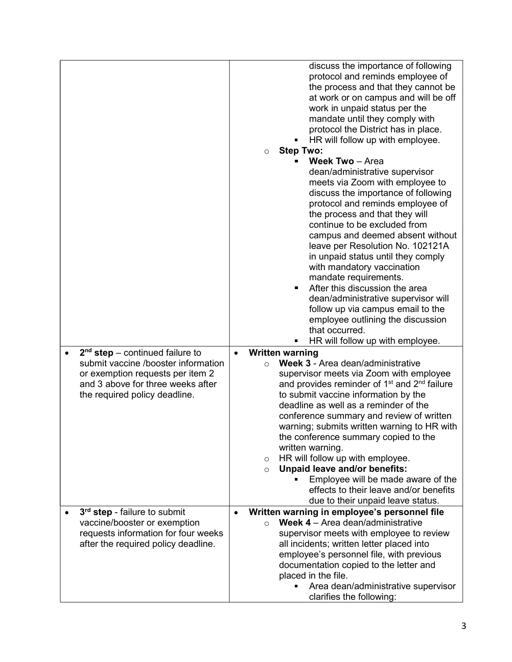|                                                                                                                                                                                    | discuss the importance of following<br>protocol and reminds employee of<br>the process and that they cannot be<br>at work or on campus and will be off<br>work in unpaid status per the<br>mandate until they comply with<br>protocol the District has in place.<br>HR will follow up with employee.<br><b>Step Two:</b><br>$\circ$<br>Week Two - Area<br>dean/administrative supervisor<br>meets via Zoom with employee to<br>discuss the importance of following<br>protocol and reminds employee of<br>the process and that they will<br>continue to be excluded from<br>campus and deemed absent without<br>leave per Resolution No. 102121A<br>in unpaid status until they comply |
|------------------------------------------------------------------------------------------------------------------------------------------------------------------------------------|----------------------------------------------------------------------------------------------------------------------------------------------------------------------------------------------------------------------------------------------------------------------------------------------------------------------------------------------------------------------------------------------------------------------------------------------------------------------------------------------------------------------------------------------------------------------------------------------------------------------------------------------------------------------------------------|
|                                                                                                                                                                                    | with mandatory vaccination<br>mandate requirements.<br>After this discussion the area<br>dean/administrative supervisor will<br>follow up via campus email to the<br>employee outlining the discussion<br>that occurred.<br>HR will follow up with employee.                                                                                                                                                                                                                                                                                                                                                                                                                           |
| $2nd$ step – continued failure to<br>submit vaccine /booster information<br>or exemption requests per item 2<br>and 3 above for three weeks after<br>the required policy deadline. | <b>Written warning</b><br>$\bullet$<br>Week 3 - Area dean/administrative<br>$\circ$<br>supervisor meets via Zoom with employee<br>and provides reminder of 1 <sup>st</sup> and 2 <sup>nd</sup> failure<br>to submit vaccine information by the<br>deadline as well as a reminder of the<br>conference summary and review of written<br>warning; submits written warning to HR with<br>the conference summary copied to the<br>written warning.<br>HR will follow up with employee.<br>$\circ$<br><b>Unpaid leave and/or benefits:</b><br>$\circ$<br>Employee will be made aware of the<br>effects to their leave and/or benefits<br>due to their unpaid leave status.                  |
| 3 <sup>rd</sup> step - failure to submit<br>vaccine/booster or exemption<br>requests information for four weeks<br>after the required policy deadline.                             | Written warning in employee's personnel file<br>Week 4 - Area dean/administrative<br>$\bigcirc$<br>supervisor meets with employee to review<br>all incidents; written letter placed into<br>employee's personnel file, with previous<br>documentation copied to the letter and<br>placed in the file.<br>Area dean/administrative supervisor<br>clarifies the following:                                                                                                                                                                                                                                                                                                               |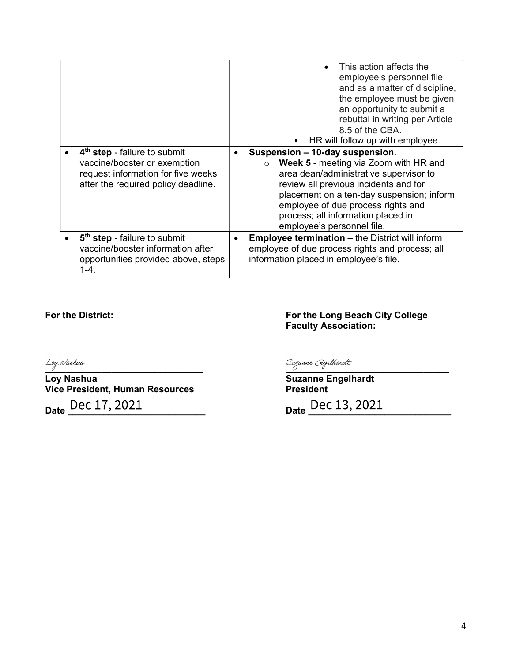|                                                                                                                                                       | This action affects the<br>employee's personnel file<br>and as a matter of discipline,<br>the employee must be given<br>an opportunity to submit a<br>rebuttal in writing per Article<br>8.5 of the CBA.<br>HR will follow up with employee.                                                                                         |
|-------------------------------------------------------------------------------------------------------------------------------------------------------|--------------------------------------------------------------------------------------------------------------------------------------------------------------------------------------------------------------------------------------------------------------------------------------------------------------------------------------|
| 4 <sup>th</sup> step - failure to submit<br>vaccine/booster or exemption<br>request information for five weeks<br>after the required policy deadline. | Suspension - 10-day suspension.<br><b>Week 5</b> - meeting via Zoom with HR and<br>$\circ$<br>area dean/administrative supervisor to<br>review all previous incidents and for<br>placement on a ten-day suspension; inform<br>employee of due process rights and<br>process; all information placed in<br>employee's personnel file. |
| 5 <sup>th</sup> step - failure to submit<br>vaccine/booster information after<br>opportunities provided above, steps<br>$1 - 4.$                      | <b>Employee termination</b> – the District will inform<br>employee of due process rights and process; all<br>information placed in employee's file.                                                                                                                                                                                  |

### For the District: For the Long Beach City College Faculty Association:

Loy Nashua<br> **Loy Nashua**<br> **Loy Nashua**<br>
Coy Nashua Vice President, Human Resources

Suzanne Engelhardt<br>President

Date <u>Dec 17, 2021</u> Date Dec 13, 2021